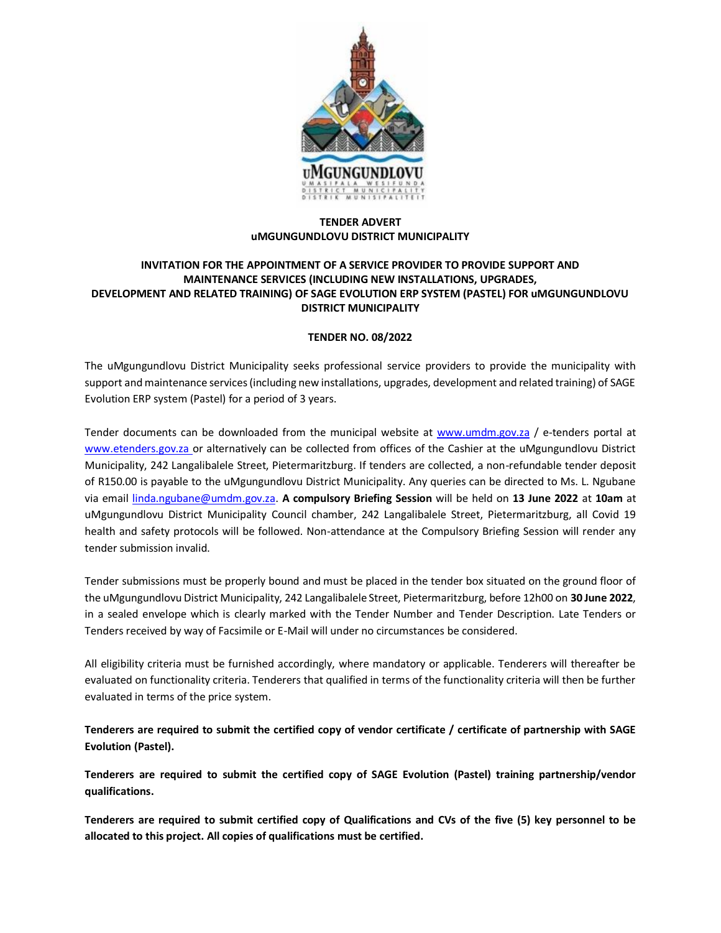

## **TENDER ADVERT uMGUNGUNDLOVU DISTRICT MUNICIPALITY**

## **INVITATION FOR THE APPOINTMENT OF A SERVICE PROVIDER TO PROVIDE SUPPORT AND MAINTENANCE SERVICES (INCLUDING NEW INSTALLATIONS, UPGRADES, DEVELOPMENT AND RELATED TRAINING) OF SAGE EVOLUTION ERP SYSTEM (PASTEL) FOR uMGUNGUNDLOVU DISTRICT MUNICIPALITY**

## **TENDER NO. 08/2022**

The uMgungundlovu District Municipality seeks professional service providers to provide the municipality with support and maintenance services (including new installations, upgrades, development and related training) of SAGE Evolution ERP system (Pastel) for a period of 3 years.

Tender documents can be downloaded from the municipal website at [www.umdm.gov.za](http://www.umdm.gov.za/) / e-tenders portal at [www.etenders.gov.za](mailto:adele.dorasamy@umdm.gov.za) or alternatively can be collected from offices of the Cashier at the uMgungundlovu District Municipality, 242 Langalibalele Street, Pietermaritzburg. If tenders are collected, a non-refundable tender deposit of R150.00 is payable to the uMgungundlovu District Municipality. Any queries can be directed to Ms. L. Ngubane via email [linda.ngubane@umdm.gov.za.](mailto:linda.ngubane@umdm.gov.za) **A compulsory Briefing Session** will be held on **13 June 2022** at **10am** at uMgungundlovu District Municipality Council chamber, 242 Langalibalele Street, Pietermaritzburg, all Covid 19 health and safety protocols will be followed. Non-attendance at the Compulsory Briefing Session will render any tender submission invalid.

Tender submissions must be properly bound and must be placed in the tender box situated on the ground floor of the uMgungundlovu District Municipality, 242 Langalibalele Street, Pietermaritzburg, before 12h00 on **30 June 2022**, in a sealed envelope which is clearly marked with the Tender Number and Tender Description. Late Tenders or Tenders received by way of Facsimile or E-Mail will under no circumstances be considered.

All eligibility criteria must be furnished accordingly, where mandatory or applicable. Tenderers will thereafter be evaluated on functionality criteria. Tenderers that qualified in terms of the functionality criteria will then be further evaluated in terms of the price system.

**Tenderers are required to submit the certified copy of vendor certificate / certificate of partnership with SAGE Evolution (Pastel).** 

**Tenderers are required to submit the certified copy of SAGE Evolution (Pastel) training partnership/vendor qualifications.**

**Tenderers are required to submit certified copy of Qualifications and CVs of the five (5) key personnel to be allocated to this project. All copies of qualifications must be certified.**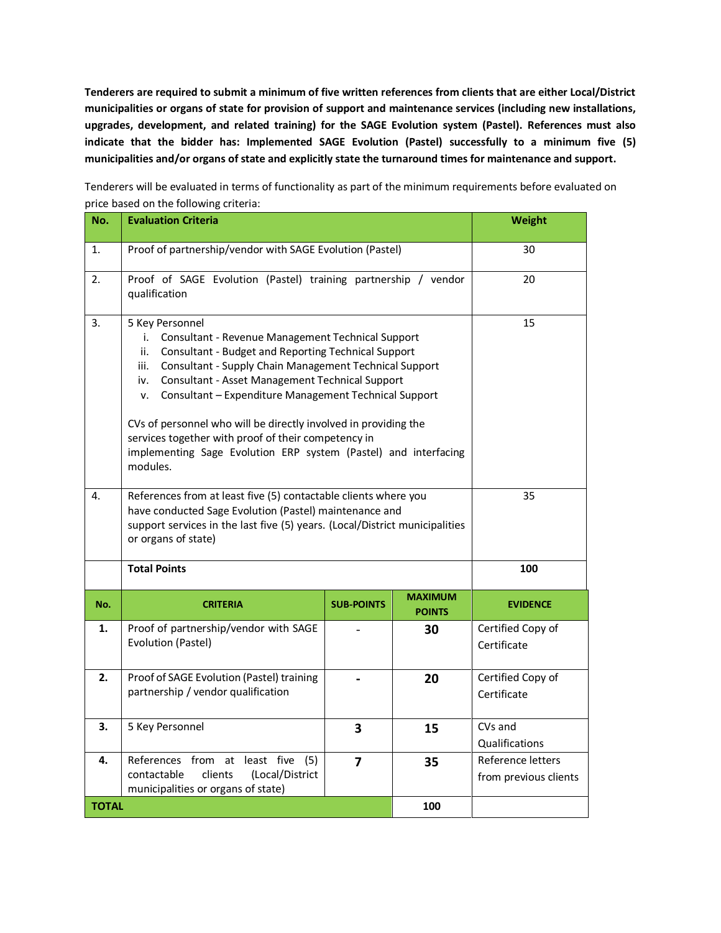**Tenderers are required to submit a minimum of five written references from clients that are either Local/District municipalities or organs of state for provision of support and maintenance services (including new installations, upgrades, development, and related training) for the SAGE Evolution system (Pastel). References must also indicate that the bidder has: Implemented SAGE Evolution (Pastel) successfully to a minimum five (5) municipalities and/or organs of state and explicitly state the turnaround times for maintenance and support.**

Tenderers will be evaluated in terms of functionality as part of the minimum requirements before evaluated on price based on the following criteria: **No. Evaluation Criteria Weight Weight** 

| 1.           | Proof of partnership/vendor with SAGE Evolution (Pastel)                                                                                                                                                                                                                                                                                                                                                                                                                                                                                     |                   |                                 | 30                                         |
|--------------|----------------------------------------------------------------------------------------------------------------------------------------------------------------------------------------------------------------------------------------------------------------------------------------------------------------------------------------------------------------------------------------------------------------------------------------------------------------------------------------------------------------------------------------------|-------------------|---------------------------------|--------------------------------------------|
| 2.           | Proof of SAGE Evolution (Pastel) training partnership / vendor<br>qualification                                                                                                                                                                                                                                                                                                                                                                                                                                                              |                   |                                 | 20                                         |
| 3.           | 5 Key Personnel<br>Consultant - Revenue Management Technical Support<br>i.<br>Consultant - Budget and Reporting Technical Support<br>ii.<br>Consultant - Supply Chain Management Technical Support<br>iii.<br>Consultant - Asset Management Technical Support<br>iv.<br>Consultant - Expenditure Management Technical Support<br>v.<br>CVs of personnel who will be directly involved in providing the<br>services together with proof of their competency in<br>implementing Sage Evolution ERP system (Pastel) and interfacing<br>modules. |                   |                                 | 15                                         |
| 4.           | References from at least five (5) contactable clients where you<br>have conducted Sage Evolution (Pastel) maintenance and<br>support services in the last five (5) years. (Local/District municipalities<br>or organs of state)                                                                                                                                                                                                                                                                                                              |                   |                                 | 35                                         |
|              | <b>Total Points</b>                                                                                                                                                                                                                                                                                                                                                                                                                                                                                                                          |                   |                                 | 100                                        |
| No.          | <b>CRITERIA</b>                                                                                                                                                                                                                                                                                                                                                                                                                                                                                                                              | <b>SUB-POINTS</b> | <b>MAXIMUM</b><br><b>POINTS</b> | <b>EVIDENCE</b>                            |
| 1.           | Proof of partnership/vendor with SAGE<br>Evolution (Pastel)                                                                                                                                                                                                                                                                                                                                                                                                                                                                                  |                   | 30                              | Certified Copy of<br>Certificate           |
| 2.           | Proof of SAGE Evolution (Pastel) training<br>partnership / vendor qualification                                                                                                                                                                                                                                                                                                                                                                                                                                                              |                   | 20                              | Certified Copy of<br>Certificate           |
| 3.           | 5 Key Personnel                                                                                                                                                                                                                                                                                                                                                                                                                                                                                                                              | 3                 | 15                              | CVs and<br>Qualifications                  |
| 4.           | at least five<br>References from<br>(5)<br>contactable<br>clients<br>(Local/District<br>municipalities or organs of state)                                                                                                                                                                                                                                                                                                                                                                                                                   | $\overline{7}$    | 35                              | Reference letters<br>from previous clients |
| <b>TOTAL</b> |                                                                                                                                                                                                                                                                                                                                                                                                                                                                                                                                              |                   | 100                             |                                            |